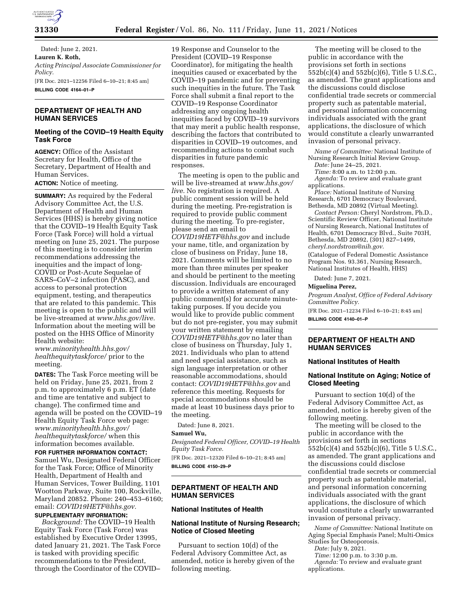

Dated: June 2, 2021. **Lauren K. Roth,**  *Acting Principal Associate Commissioner for Policy.*  [FR Doc. 2021–12256 Filed 6–10–21; 8:45 am] **BILLING CODE 4164–01–P** 

## **DEPARTMENT OF HEALTH AND HUMAN SERVICES**

#### **Meeting of the COVID–19 Health Equity Task Force**

**AGENCY:** Office of the Assistant Secretary for Health, Office of the Secretary, Department of Health and Human Services.

**ACTION:** Notice of meeting.

**SUMMARY:** As required by the Federal Advisory Committee Act, the U.S. Department of Health and Human Services (HHS) is hereby giving notice that the COVID–19 Health Equity Task Force (Task Force) will hold a virtual meeting on June 25, 2021. The purpose of this meeting is to consider interim recommendations addressing the inequities and the impact of long-COVID or Post-Acute Sequelae of SARS–CoV–2 infection (PASC), and access to personal protection equipment, testing, and therapeutics that are related to this pandemic. This meeting is open to the public and will be live-streamed at *[www.hhs.gov/live.](http://www.hhs.gov/live)*  Information about the meeting will be posted on the HHS Office of Minority Health website:

*[www.minorityhealth.hhs.gov/](http://www.minorityhealth.hhs.gov/healthequitytaskforce/) [healthequitytaskforce/](http://www.minorityhealth.hhs.gov/healthequitytaskforce/)* prior to the meeting.

**DATES:** The Task Force meeting will be held on Friday, June 25, 2021, from 2 p.m. to approximately 6 p.m. ET (date and time are tentative and subject to change). The confirmed time and agenda will be posted on the COVID–19 Health Equity Task Force web page: *[www.minorityhealth.hhs.gov/](http://www.minorityhealth.hhs.gov/healthequitytaskforce/) [healthequitytaskforce/](http://www.minorityhealth.hhs.gov/healthequitytaskforce/)* when this information becomes available.

**FOR FURTHER INFORMATION CONTACT:**  Samuel Wu, Designated Federal Officer for the Task Force; Office of Minority Health, Department of Health and Human Services, Tower Building, 1101 Wootton Parkway, Suite 100, Rockville, Maryland 20852. Phone: 240–453–6160; email: *[COVID19HETF@hhs.gov.](mailto:COVID19HETF@hhs.gov)* 

# **SUPPLEMENTARY INFORMATION:**

*Background:* The COVID–19 Health Equity Task Force (Task Force) was established by Executive Order 13995, dated January 21, 2021. The Task Force is tasked with providing specific recommendations to the President, through the Coordinator of the COVID–

19 Response and Counselor to the President (COVID–19 Response Coordinator), for mitigating the health inequities caused or exacerbated by the COVID–19 pandemic and for preventing such inequities in the future. The Task Force shall submit a final report to the COVID–19 Response Coordinator addressing any ongoing health inequities faced by COVID–19 survivors that may merit a public health response, describing the factors that contributed to disparities in COVID–19 outcomes, and recommending actions to combat such disparities in future pandemic responses.

The meeting is open to the public and will be live-streamed at *[www.hhs.gov/](http://www.hhs.gov/live) [live.](http://www.hhs.gov/live)* No registration is required. A public comment session will be held during the meeting. Pre-registration is required to provide public comment during the meeting. To pre-register, please send an email to *[COVID19HETF@hhs.gov](mailto:COVID19HETF@hhs.gov)* and include your name, title, and organization by close of business on Friday, June 18, 2021. Comments will be limited to no more than three minutes per speaker and should be pertinent to the meeting discussion. Individuals are encouraged to provide a written statement of any public comment(s) for accurate minutetaking purposes. If you decide you would like to provide public comment but do not pre-register, you may submit your written statement by emailing *[COVID19HETF@hhs.gov](mailto:COVID19HETF@hhs.gov)* no later than close of business on Thursday, July 1, 2021. Individuals who plan to attend and need special assistance, such as sign language interpretation or other reasonable accommodations, should contact: *[COVID19HETF@hhs.gov](mailto:COVID19HETF@hhs.gov)* and reference this meeting. Requests for special accommodations should be made at least 10 business days prior to the meeting.

Dated: June 8, 2021.

#### **Samuel Wu,**

*Designated Federal Officer, COVID–19 Health Equity Task Force.* 

[FR Doc. 2021–12320 Filed 6–10–21; 8:45 am] **BILLING CODE 4150–29–P** 

### **DEPARTMENT OF HEALTH AND HUMAN SERVICES**

#### **National Institutes of Health**

#### **National Institute of Nursing Research; Notice of Closed Meeting**

Pursuant to section 10(d) of the Federal Advisory Committee Act, as amended, notice is hereby given of the following meeting.

The meeting will be closed to the public in accordance with the provisions set forth in sections 552b(c)(4) and 552b(c)(6), Title 5 U.S.C., as amended. The grant applications and the discussions could disclose confidential trade secrets or commercial property such as patentable material, and personal information concerning individuals associated with the grant applications, the disclosure of which would constitute a clearly unwarranted invasion of personal privacy.

*Name of Committee:* National Institute of Nursing Research Initial Review Group. *Date:* June 24–25, 2021.

*Time:* 8:00 a.m. to 12:00 p.m.

*Agenda:* To review and evaluate grant applications.

*Place:* National Institute of Nursing Research, 6701 Democracy Boulevard, Bethesda, MD 20892 (Virtual Meeting).

*Contact Person:* Cheryl Nordstrom, Ph.D., Scientific Review Officer, National Institute of Nursing Research, National Institutes of Health, 6701 Democracy Blvd., Suite 703H, Bethesda, MD 20892, (301) 827–1499, *[cheryl.nordstrom@nih.gov](mailto:cheryl.nordstrom@nih.gov)*.

(Catalogue of Federal Domestic Assistance Program Nos. 93.361, Nursing Research, National Institutes of Health, HHS)

Dated: June 7, 2021.

#### **Miguelina Perez,**

*Program Analyst, Office of Federal Advisory Committee Policy.* 

[FR Doc. 2021–12234 Filed 6–10–21; 8:45 am] **BILLING CODE 4140–01–P** 

#### **DEPARTMENT OF HEALTH AND HUMAN SERVICES**

#### **National Institutes of Health**

#### **National Institute on Aging; Notice of Closed Meeting**

Pursuant to section 10(d) of the Federal Advisory Committee Act, as amended, notice is hereby given of the following meeting.

The meeting will be closed to the public in accordance with the provisions set forth in sections 552b(c)(4) and 552b(c)(6), Title 5 U.S.C., as amended. The grant applications and the discussions could disclose confidential trade secrets or commercial property such as patentable material, and personal information concerning individuals associated with the grant applications, the disclosure of which would constitute a clearly unwarranted invasion of personal privacy.

*Name of Committee:* National Institute on Aging Special Emphasis Panel; Multi-Omics Studies for Osteoporosis.

*Date:* July 9, 2021.

*Time:* 12:00 p.m. to 3:30 p.m.

*Agenda:* To review and evaluate grant applications.